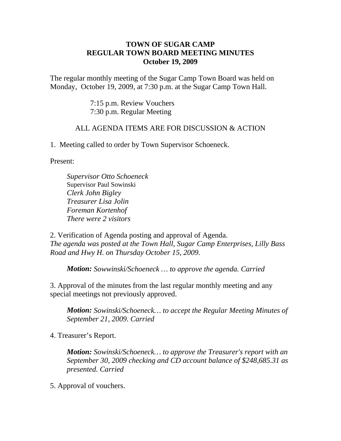## **TOWN OF SUGAR CAMP REGULAR TOWN BOARD MEETING MINUTES October 19, 2009**

The regular monthly meeting of the Sugar Camp Town Board was held on Monday, October 19, 2009, at 7:30 p.m. at the Sugar Camp Town Hall.

> 7:15 p.m. Review Vouchers 7:30 p.m. Regular Meeting

## ALL AGENDA ITEMS ARE FOR DISCUSSION & ACTION

1. Meeting called to order by Town Supervisor Schoeneck.

Present:

*Supervisor Otto Schoeneck* Supervisor Paul Sowinski *Clerk John Bigley Treasurer Lisa Jolin Foreman Kortenhof There were 2 visitors*

2. Verification of Agenda posting and approval of Agenda. *The agenda was posted at the Town Hall, Sugar Camp Enterprises, Lilly Bass Road and Hwy H. on Thursday October 15, 2009.*

*Motion: Sowwinski/Schoeneck … to approve the agenda. Carried*

3. Approval of the minutes from the last regular monthly meeting and any special meetings not previously approved.

*Motion: Sowinski/Schoeneck… to accept the Regular Meeting Minutes of September 21, 2009. Carried*

4. Treasurer's Report.

*Motion: Sowinski/Schoeneck… to approve the Treasurer's report with an September 30, 2009 checking and CD account balance of \$248,685.31 as presented. Carried*

5. Approval of vouchers.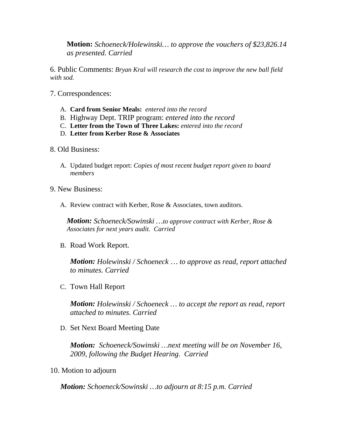**Motion:** *Schoeneck/Holewinski… to approve the vouchers of \$23,826.14 as presented. Carried*

6. Public Comments: *Bryan Kral will research the cost to improve the new ball field with sod.*

- 7. Correspondences:
	- A. **Card from Senior Meals:** *entered into the record*
	- B. Highway Dept. TRIP program: *entered into the record*
	- C. **Letter from the Town of Three Lakes:** *entered into the record*
	- D. **Letter from Kerber Rose & Associates**
- 8. Old Business:
	- A. Updated budget report: *Copies of most recent budget report given to board members*
- 9. New Business:
	- A. Review contract with Kerber, Rose & Associates, town auditors.

*Motion: Schoeneck/Sowinski …to approve contract with Kerber, Rose & Associates for next years audit. Carried*

B. Road Work Report.

*Motion: Holewinski / Schoeneck … to approve as read, report attached to minutes. Carried*

C. Town Hall Report

*Motion: Holewinski / Schoeneck … to accept the report as read, report attached to minutes. Carried*

D. Set Next Board Meeting Date

*Motion: Schoeneck/Sowinski …next meeting will be on November 16, 2009, following the Budget Hearing. Carried*

10. Motion to adjourn

*Motion: Schoeneck/Sowinski …to adjourn at 8:15 p.m. Carried*